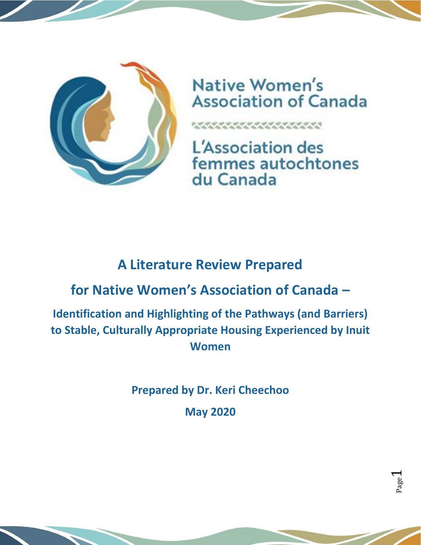

# **Native Women's Association of Canada**

**MAMMAMAMAM** 

L'Association des femmes autochtones du Canada

> Page  $\overline{\phantom{0}}$

## **A Literature Review Prepared**

## **for Native Women's Association of Canada –**

**Identification and Highlighting of the Pathways (and Barriers) to Stable, Culturally Appropriate Housing Experienced by Inuit Women** 

> **Prepared by Dr. Keri Cheechoo May 2020**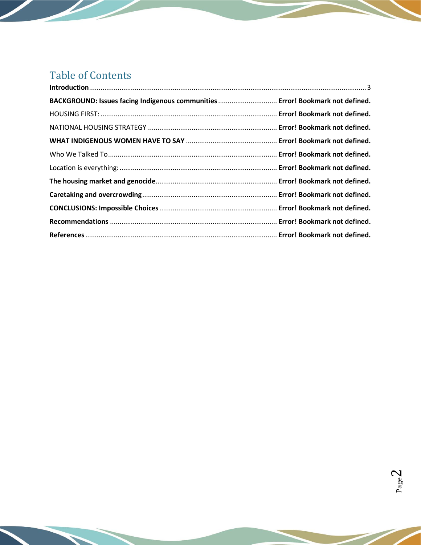## Table of Contents

| BACKGROUND: Issues facing Indigenous communities  Error! Bookmark not defined. |  |
|--------------------------------------------------------------------------------|--|
|                                                                                |  |
|                                                                                |  |
|                                                                                |  |
|                                                                                |  |
|                                                                                |  |
|                                                                                |  |
|                                                                                |  |
|                                                                                |  |
|                                                                                |  |
|                                                                                |  |

Page  $\boldsymbol{\sim}$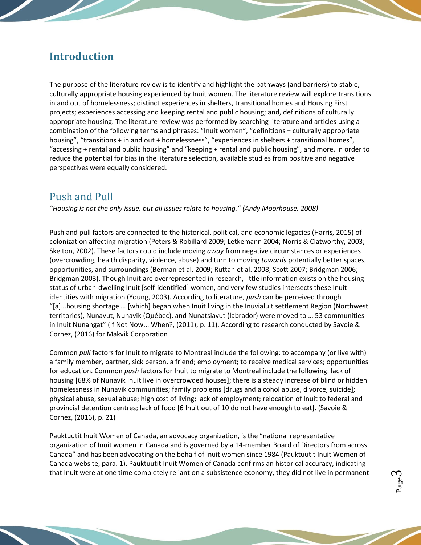### <span id="page-2-0"></span>**Introduction**

The purpose of the literature review is to identify and highlight the pathways (and barriers) to stable, culturally appropriate housing experienced by Inuit women. The literature review will explore transitions in and out of homelessness; distinct experiences in shelters, transitional homes and Housing First projects; experiences accessing and keeping rental and public housing; and, definitions of culturally appropriate housing. The literature review was performed by searching literature and articles using a combination of the following terms and phrases: "Inuit women", "definitions + culturally appropriate housing", "transitions + in and out + homelessness", "experiences in shelters + transitional homes", "accessing + rental and public housing" and "keeping + rental and public housing", and more. In order to reduce the potential for bias in the literature selection, available studies from positive and negative perspectives were equally considered.

### Push and Pull

*"Housing is not the only issue, but all issues relate to housing." (Andy Moorhouse, 2008)* 

Push and pull factors are connected to the historical, political, and economic legacies (Harris, 2015) of colonization affecting migration (Peters & Robillard 2009; Letkemann 2004; Norris & Clatworthy, 2003; Skelton, 2002). These factors could include moving *away* from negative circumstances or experiences (overcrowding, health disparity, violence, abuse) and turn to moving *towards* potentially better spaces, opportunities, and surroundings (Berman et al. 2009; Ruttan et al. 2008; Scott 2007; Bridgman 2006; Bridgman 2003). Though Inuit are overrepresented in research, little information exists on the housing status of urban-dwelling Inuit [self-identified] women, and very few studies intersects these Inuit identities with migration (Young, 2003). According to literature, *push* can be perceived through "[a]…housing shortage … [which] began when Inuit living in the Inuvialuit settlement Region (Northwest territories), Nunavut, Nunavik (Québec), and Nunatsiavut (labrador) were moved to … 53 communities in Inuit Nunangat" (If Not Now... When?, (2011), p. 11). According to research conducted by Savoie & Cornez, (2016) for Makvik Corporation

Common *pull* factors for Inuit to migrate to Montreal include the following: to accompany (or live with) a family member, partner, sick person, a friend; employment; to receive medical services; opportunities for education. Common *push* factors for Inuit to migrate to Montreal include the following: lack of housing [68% of Nunavik Inuit live in overcrowded houses]; there is a steady increase of blind or hidden homelessness in Nunavik communities; family problems [drugs and alcohol abuse, divorce, suicide]; physical abuse, sexual abuse; high cost of living; lack of employment; relocation of Inuit to federal and provincial detention centres; lack of food [6 Inuit out of 10 do not have enough to eat]. (Savoie & Cornez, (2016), p. 21)

Pauktuutit Inuit Women of Canada, an advocacy organization, is the "national representative organization of Inuit women in Canada and is governed by a 14-member Board of Directors from across Canada" and has been advocating on the behalf of Inuit women since 1984 (Pauktuutit Inuit Women of Canada website, para. 1). Pauktuutit Inuit Women of Canada confirms an historical accuracy, indicating that Inuit were at one time completely reliant on a subsistence economy, they did not live in permanent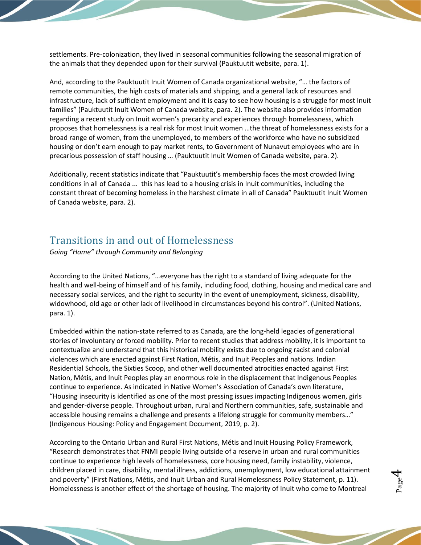settlements. Pre-colonization, they lived in seasonal communities following the seasonal migration of the animals that they depended upon for their survival (Pauktuutit website, para. 1).

And, according to the Pauktuutit Inuit Women of Canada organizational website, "… the factors of remote communities, the high costs of materials and shipping, and a general lack of resources and infrastructure, lack of sufficient employment and it is easy to see how housing is a struggle for most Inuit families" (Pauktuutit Inuit Women of Canada website, para. 2). The website also provides information regarding a recent study on Inuit women's precarity and experiences through homelessness, which proposes that homelessness is a real risk for most Inuit women …the threat of homelessness exists for a broad range of women, from the unemployed, to members of the workforce who have no subsidized housing or don't earn enough to pay market rents, to Government of Nunavut employees who are in precarious possession of staff housing … (Pauktuutit Inuit Women of Canada website, para. 2).

Additionally, recent statistics indicate that "Pauktuutit's membership faces the most crowded living conditions in all of Canada ... this has lead to a housing crisis in Inuit communities, including the constant threat of becoming homeless in the harshest climate in all of Canada" Pauktuutit Inuit Women of Canada website, para. 2).

#### Transitions in and out of Homelessness

*Going "Home" through Community and Belonging* 

According to the United Nations, "…everyone has the right to a standard of living adequate for the health and well-being of himself and of his family, including food, clothing, housing and medical care and necessary social services, and the right to security in the event of unemployment, sickness, disability, widowhood, old age or other lack of livelihood in circumstances beyond his control". (United Nations, para. 1).

Embedded within the nation-state referred to as Canada, are the long-held legacies of generational stories of involuntary or forced mobility. Prior to recent studies that address mobility, it is important to contextualize and understand that this historical mobility exists due to ongoing racist and colonial violences which are enacted against First Nation, Métis, and Inuit Peoples and nations. Indian Residential Schools, the Sixties Scoop, and other well documented atrocities enacted against First Nation, Métis, and Inuit Peoples play an enormous role in the displacement that Indigenous Peoples continue to experience. As indicated in Native Women's Association of Canada's own literature, "Housing insecurity is identified as one of the most pressing issues impacting Indigenous women, girls and gender-diverse people. Throughout urban, rural and Northern communities, safe, sustainable and accessible housing remains a challenge and presents a lifelong struggle for community members…" (Indigenous Housing: Policy and Engagement Document, 2019, p. 2).

According to the Ontario Urban and Rural First Nations, Métis and Inuit Housing Policy Framework, "Research demonstrates that FNMI people living outside of a reserve in urban and rural communities continue to experience high levels of homelessness, core housing need, family instability, violence, children placed in care, disability, mental illness, addictions, unemployment, low educational attainment and poverty" (First Nations, Métis, and Inuit Urban and Rural Homelessness Policy Statement, p. 11). Homelessness is another effect of the shortage of housing. The majority of Inuit who come to Montreal

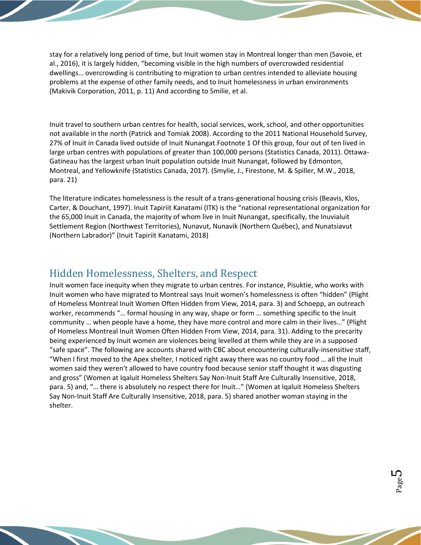stay for a relatively long period of time, but Inuit women stay in Montreal longer than men (Savoie, et al., 2016), it is largely hidden, "becoming visible in the high numbers of overcrowded residential dwellings… overcrowding is contributing to migration to urban centres intended to alleviate housing problems at the expense of other family needs, and to Inuit homelessness in urban environments (Makivik Corporation, 2011, p. 11) And according to Smilie, et al.

Inuit travel to southern urban centres for health, social services, work, school, and other opportunities not available in the north (Patrick and Tomiak 2008). According to the 2011 National Household Survey, 27% of Inuit in Canada lived outside of Inuit Nunangat.Footnote 1 Of this group, four out of ten lived in large urban centres with populations of greater than 100,000 persons (Statistics Canada, 2011). Ottawa-Gatineau has the largest urban Inuit population outside Inuit Nunangat, followed by Edmonton, Montreal, and Yellowknife (Statistics Canada, 2017). (Smylie, J., Firestone, M. & Spiller, M.W., 2018, para. 21)

The literature indicates homelessness is the result of a trans-generational housing crisis (Beavis, Klos, Carter, & Douchant, 1997). Inuit Tapiriit Kanatami (ITK) is the "national representational organization for the 65,000 Inuit in Canada, the majority of whom live in Inuit Nunangat, specifically, the Inuvialuit Settlement Region (Northwest Territories), Nunavut, Nunavik (Northern Québec), and Nunatsiavut (Northern Labrador)" (Inuit Tapiriit Kanatami, 2018)

#### Hidden Homelessness, Shelters, and Respect

Inuit women face inequity when they migrate to urban centres. For instance, Pisuktie, who works with Inuit women who have migrated to Montreal says Inuit women's homelessness is often "hidden" (Plight of Homeless Montreal Inuit Women Often Hidden from View, 2014, para. 3) and Schoepp, an outreach worker, recommends "… formal housing in any way, shape or form … something specific to the Inuit community … when people have a home, they have more control and more calm in their lives…" (Plight of Homeless Montreal Inuit Women Often Hidden From View, 2014, para. 31). Adding to the precarity being experienced by Inuit women are violences being levelled at them while they are in a supposed "safe space". The following are accounts shared with CBC about encountering culturally-insensitive staff, "When I first moved to the Apex shelter, I noticed right away there was no country food … all the Inuit women said they weren't allowed to have country food because senior staff thought it was disgusting and gross" (Women at Iqaluit Homeless Shelters Say Non-Inuit Staff Are Culturally Insensitive, 2018, para. 5) and, "… there is absolutely no respect there for Inuit…" (Women at Iqaluit Homeless Shelters Say Non-Inuit Staff Are Culturally Insensitive, 2018, para. 5) shared another woman staying in the shelter.

> Page L∩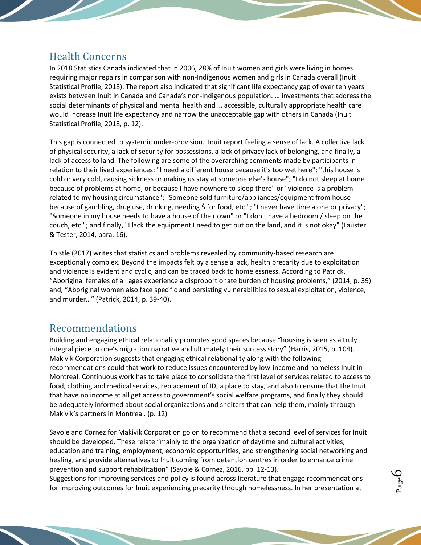### Health Concerns

In 2018 Statistics Canada indicated that in 2006, 28% of Inuit women and girls were living in homes requiring major repairs in comparison with non-Indigenous women and girls in Canada overall (Inuit Statistical Profile, 2018). The report also indicated that significant life expectancy gap of over ten years exists between Inuit in Canada and Canada's non-Indigenous population. … investments that address the social determinants of physical and mental health and … accessible, culturally appropriate health care would increase Inuit life expectancy and narrow the unacceptable gap with others in Canada (Inuit Statistical Profile, 2018, p. 12).

This gap is connected to systemic under-provision. Inuit report feeling a sense of lack. A collective lack of physical security, a lack of security for possessions, a lack of privacy lack of belonging, and finally, a lack of access to land. The following are some of the overarching comments made by participants in relation to their lived experiences: "I need a different house because it's too wet here"; "this house is cold or very cold, causing sickness or making us stay at someone else's house"; "I do not sleep at home because of problems at home, or because I have nowhere to sleep there" or "violence is a problem related to my housing circumstance"; "Someone sold furniture/appliances/equipment from house because of gambling, drug use, drinking, needing \$ for food, etc."; "I never have time alone or privacy"; "Someone in my house needs to have a house of their own" or "I don't have a bedroom / sleep on the couch, etc."; and finally, "I lack the equipment I need to get out on the land, and it is not okay" (Lauster & Tester, 2014, para. 16).

Thistle (2017) writes that statistics and problems revealed by community-based research are exceptionally complex. Beyond the impacts felt by a sense a lack, health precarity due to exploitation and violence is evident and cyclic, and can be traced back to homelessness. According to Patrick, "Aboriginal females of all ages experience a disproportionate burden of housing problems," (2014, p. 39) and, "Aboriginal women also face specific and persisting vulnerabilities to sexual exploitation, violence, and murder…" (Patrick, 2014, p. 39-40).

#### Recommendations

Building and engaging ethical relationality promotes good spaces because "housing is seen as a truly integral piece to one's migration narrative and ultimately their success story" (Harris, 2015, p. 104). Makivik Corporation suggests that engaging ethical relationality along with the following recommendations could that work to reduce issues encountered by low-income and homeless Inuit in Montreal. Continuous work has to take place to consolidate the first level of services related to access to food, clothing and medical services, replacement of ID, a place to stay, and also to ensure that the Inuit that have no income at all get access to government's social welfare programs, and finally they should be adequately informed about social organizations and shelters that can help them, mainly through Makivik's partners in Montreal. (p. 12)

Savoie and Cornez for Makivik Corporation go on to recommend that a second level of services for Inuit should be developed. These relate "mainly to the organization of daytime and cultural activities, education and training, employment, economic opportunities, and strengthening social networking and healing, and provide alternatives to Inuit coming from detention centres in order to enhance crime prevention and support rehabilitation" (Savoie & Cornez, 2016, pp. 12-13).

Suggestions for improving services and policy is found across literature that engage recommendations for improving outcomes for Inuit experiencing precarity through homelessness. In her presentation at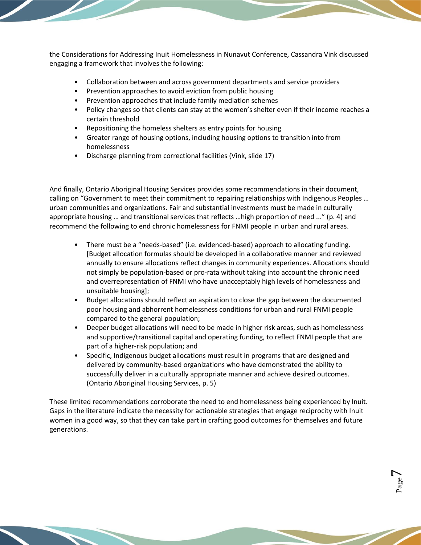the Considerations for Addressing Inuit Homelessness in Nunavut Conference, Cassandra Vink discussed engaging a framework that involves the following:

- Collaboration between and across government departments and service providers
- Prevention approaches to avoid eviction from public housing
- Prevention approaches that include family mediation schemes
- Policy changes so that clients can stay at the women's shelter even if their income reaches a certain threshold
- Repositioning the homeless shelters as entry points for housing
- Greater range of housing options, including housing options to transition into from homelessness
- Discharge planning from correctional facilities (Vink, slide 17)

And finally, Ontario Aboriginal Housing Services provides some recommendations in their document, calling on "Government to meet their commitment to repairing relationships with Indigenous Peoples … urban communities and organizations. Fair and substantial investments must be made in culturally appropriate housing … and transitional services that reflects …high proportion of need ..." (p. 4) and recommend the following to end chronic homelessness for FNMI people in urban and rural areas.

- There must be a "needs-based" (i.e. evidenced-based) approach to allocating funding. [Budget allocation formulas should be developed in a collaborative manner and reviewed annually to ensure allocations reflect changes in community experiences. Allocations should not simply be population-based or pro-rata without taking into account the chronic need and overrepresentation of FNMI who have unacceptably high levels of homelessness and unsuitable housing];
- Budget allocations should reflect an aspiration to close the gap between the documented poor housing and abhorrent homelessness conditions for urban and rural FNMI people compared to the general population;
- Deeper budget allocations will need to be made in higher risk areas, such as homelessness and supportive/transitional capital and operating funding, to reflect FNMI people that are part of a higher-risk population; and
- Specific, Indigenous budget allocations must result in programs that are designed and delivered by community-based organizations who have demonstrated the ability to successfully deliver in a culturally appropriate manner and achieve desired outcomes. (Ontario Aboriginal Housing Services, p. 5)

These limited recommendations corroborate the need to end homelessness being experienced by Inuit. Gaps in the literature indicate the necessity for actionable strategies that engage reciprocity with Inuit women in a good way, so that they can take part in crafting good outcomes for themselves and future generations.

> Page  $\overline{\phantom{0}}$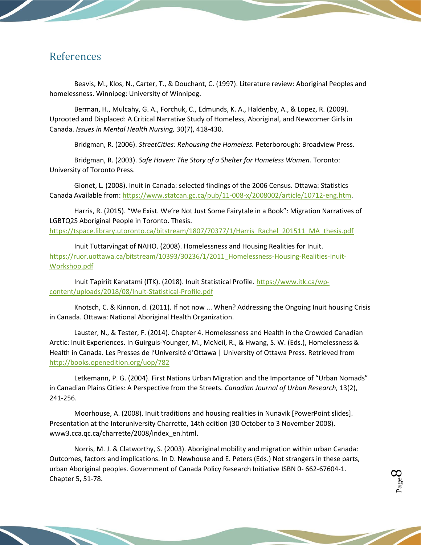#### References

Beavis, M., Klos, N., Carter, T., & Douchant, C. (1997). Literature review: Aboriginal Peoples and homelessness. Winnipeg: University of Winnipeg.

Berman, H., Mulcahy, G. A., Forchuk, C., Edmunds, K. A., Haldenby, A., & Lopez, R. (2009). Uprooted and Displaced: A Critical Narrative Study of Homeless, Aboriginal, and Newcomer Girls in Canada. *Issues in Mental Health Nursing,* 30(7), 418-430.

Bridgman, R. (2006). *StreetCities: Rehousing the Homeless.* Peterborough: Broadview Press.

Bridgman, R. (2003). *Safe Haven: The Story of a Shelter for Homeless Women.* Toronto: University of Toronto Press.

Gionet, L. (2008). Inuit in Canada: selected findings of the 2006 Census. Ottawa: Statistics Canada Available from: [https://www.statcan.gc.ca/pub/11-008-x/2008002/article/10712-eng.htm.](https://www.statcan.gc.ca/pub/11-008-x/2008002/article/10712-eng.htm)

Harris, R. (2015). "We Exist. We're Not Just Some Fairytale in a Book": Migration Narratives of LGBTQ2S Aboriginal People in Toronto. Thesis. [https://tspace.library.utoronto.ca/bitstream/1807/70377/1/Harris\\_Rachel\\_201511\\_MA\\_thesis.pdf](https://tspace.library.utoronto.ca/bitstream/1807/70377/1/Harris_Rachel_201511_MA_thesis.pdf)

Inuit Tuttarvingat of NAHO. (2008). Homelessness and Housing Realities for Inuit. [https://ruor.uottawa.ca/bitstream/10393/30236/1/2011\\_Homelessness-Housing-Realities-Inuit-](https://ruor.uottawa.ca/bitstream/10393/30236/1/2011_Homelessness-Housing-Realities-Inuit-Workshop.pdf)[Workshop.pdf](https://ruor.uottawa.ca/bitstream/10393/30236/1/2011_Homelessness-Housing-Realities-Inuit-Workshop.pdf)

Inuit Tapiriit Kanatami (ITK). (2018). Inuit Statistical Profile. [https://www.itk.ca/wp](https://www.itk.ca/wp-content/uploads/2018/08/Inuit-Statistical-Profile.pdf)[content/uploads/2018/08/Inuit-Statistical-Profile.pdf](https://www.itk.ca/wp-content/uploads/2018/08/Inuit-Statistical-Profile.pdf)

Knotsch, C. & Kinnon, d. (2011). If not now ... When? Addressing the Ongoing Inuit housing Crisis in Canada. Ottawa: National Aboriginal Health Organization.

Lauster, N., & Tester, F. (2014). Chapter 4. Homelessness and Health in the Crowded Canadian Arctic: Inuit Experiences. In Guirguis-Younger, M., McNeil, R., & Hwang, S. W. (Eds.), Homelessness & Health in Canada. Les Presses de l'Université d'Ottawa | University of Ottawa Press. Retrieved from <http://books.openedition.org/uop/782>

Letkemann, P. G. (2004). First Nations Urban Migration and the Importance of "Urban Nomads" in Canadian Plains Cities: A Perspective from the Streets. *Canadian Journal of Urban Research,* 13(2), 241-256.

Moorhouse, A. (2008). Inuit traditions and housing realities in Nunavik [PowerPoint slides]. Presentation at the Interuniversity Charrette, 14th edition (30 October to 3 November 2008). www3.cca.qc.ca/charrette/2008/index\_en.html.

Norris, M. J. & Clatworthy, S. (2003). Aboriginal mobility and migration within urban Canada: Outcomes, factors and implications. In D. Newhouse and E. Peters (Eds.) Not strangers in these parts, urban Aboriginal peoples. Government of Canada Policy Research Initiative ISBN 0- 662-67604-1. Chapter 5, 51-78.

Page  $\infty$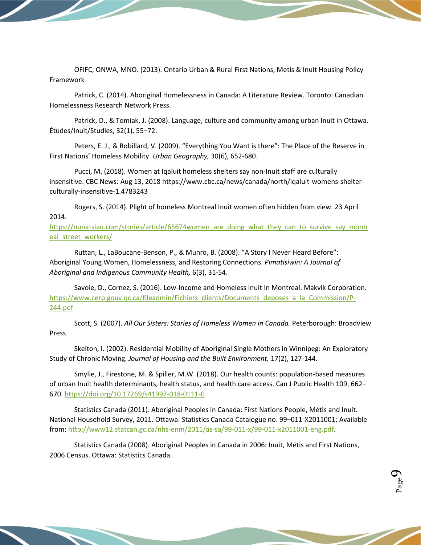OFIFC, ONWA, MNO. (2013). Ontario Urban & Rural First Nations, Metis & Inuit Housing Policy Framework

Patrick, C. (2014). Aboriginal Homelessness in Canada: A Literature Review. Toronto: Canadian Homelessness Research Network Press.

Patrick, D., & Tomiak, J. (2008). Language, culture and community among urban Inuit in Ottawa. Études/Inuit/Studies, 32(1), 55–72.

Peters, E. J., & Robillard, V. (2009). "Everything You Want is there": The Place of the Reserve in First Nations' Homeless Mobility. *Urban Geography,* 30(6), 652-680.

Pucci, M. (2018). Women at Iqaluit homeless shelters say non-Inuit staff are culturally insensitive. CBC News: Aug 13, 2018 https://www.cbc.ca/news/canada/north/iqaluit-womens-shelterculturally-insensitive-1.4783243

Rogers, S. (2014). Plight of homeless Montreal Inuit women often hidden from view. 23 April 2014.

[https://nunatsiaq.com/stories/article/65674women\\_are\\_doing\\_what\\_they\\_can\\_to\\_survive\\_say\\_montr](https://nunatsiaq.com/stories/article/65674women_are_doing_what_they_can_to_survive_say_montreal_street_workers/) eal street workers/

Ruttan, L., LaBoucane-Benson, P., & Munro, B. (2008). "A Story I Never Heard Before": Aboriginal Young Women, Homelessness, and Restoring Connections. *Pimatisiwin: A Journal of Aboriginal and Indigenous Community Health,* 6(3), 31-54.

Savoie, D., Cornez, S. (2016). Low-Income and Homeless Inuit In Montreal. Makvik Corporation. [https://www.cerp.gouv.qc.ca/fileadmin/Fichiers\\_clients/Documents\\_deposes\\_a\\_la\\_Commission/P-](https://www.cerp.gouv.qc.ca/fileadmin/Fichiers_clients/Documents_deposes_a_la_Commission/P-244.pdf)[244.pdf](https://www.cerp.gouv.qc.ca/fileadmin/Fichiers_clients/Documents_deposes_a_la_Commission/P-244.pdf)

Scott, S. (2007). *All Our Sisters: Stories of Homeless Women in Canada.* Peterborough: Broadview Press.

Skelton, I. (2002). Residential Mobility of Aboriginal Single Mothers in Winnipeg: An Exploratory Study of Chronic Moving. *Journal of Housing and the Built Environment,* 17(2), 127-144.

Smylie, J., Firestone, M. & Spiller, M.W. (2018). Our health counts: population-based measures of urban Inuit health determinants, health status, and health care access. Can J Public Health 109, 662– 670.<https://doi.org/10.17269/s41997-018-0111-0>

Statistics Canada (2011). Aboriginal Peoples in Canada: First Nations People, Métis and Inuit. National Household Survey, 2011. Ottawa: Statistics Canada Catalogue no. 99–011-X2011001; Available from: [http://www12.statcan.gc.ca/nhs-enm/2011/as-sa/99-011-x/99-011-x2011001-eng.pdf.](http://www12.statcan.gc.ca/nhs-enm/2011/as-sa/99-011-x/99-011-x2011001-eng.pdf)

Statistics Canada (2008). Aboriginal Peoples in Canada in 2006: Inuit, Métis and First Nations, 2006 Census. Ottawa: Statistics Canada.

> Page  $\sigma$